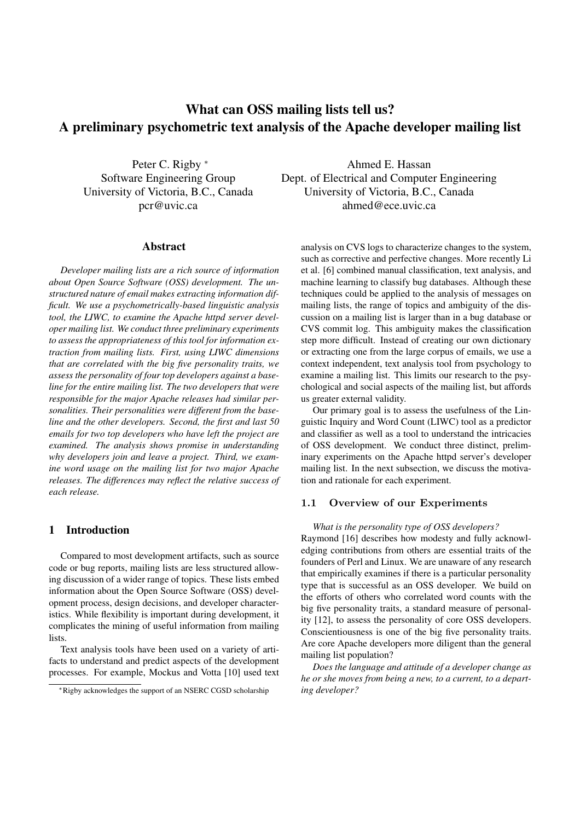## **What can OSS mailing lists tell us? A preliminary psychometric text analysis of the Apache developer mailing list**

Peter C. Rigby <sup>∗</sup> Software Engineering Group University of Victoria, B.C., Canada pcr@uvic.ca

### **Abstract**

*Developer mailing lists are a rich source of information about Open Source Software (OSS) development. The unstructured nature of email makes extracting information difficult. We use a psychometrically-based linguistic analysis tool, the LIWC, to examine the Apache httpd server developer mailing list. We conduct three preliminary experiments to assess the appropriateness of this tool for information extraction from mailing lists. First, using LIWC dimensions that are correlated with the big five personality traits, we assess the personality of four top developers against a baseline for the entire mailing list. The two developers that were responsible for the major Apache releases had similar personalities. Their personalities were different from the baseline and the other developers. Second, the first and last 50 emails for two top developers who have left the project are examined. The analysis shows promise in understanding why developers join and leave a project. Third, we examine word usage on the mailing list for two major Apache releases. The differences may reflect the relative success of each release.*

### **1 Introduction**

Compared to most development artifacts, such as source code or bug reports, mailing lists are less structured allowing discussion of a wider range of topics. These lists embed information about the Open Source Software (OSS) development process, design decisions, and developer characteristics. While flexibility is important during development, it complicates the mining of useful information from mailing lists.

Text analysis tools have been used on a variety of artifacts to understand and predict aspects of the development processes. For example, Mockus and Votta [10] used text

Ahmed E. Hassan Dept. of Electrical and Computer Engineering University of Victoria, B.C., Canada ahmed@ece.uvic.ca

analysis on CVS logs to characterize changes to the system, such as corrective and perfective changes. More recently Li et al. [6] combined manual classification, text analysis, and machine learning to classify bug databases. Although these techniques could be applied to the analysis of messages on mailing lists, the range of topics and ambiguity of the discussion on a mailing list is larger than in a bug database or CVS commit log. This ambiguity makes the classification step more difficult. Instead of creating our own dictionary or extracting one from the large corpus of emails, we use a context independent, text analysis tool from psychology to examine a mailing list. This limits our research to the psychological and social aspects of the mailing list, but affords us greater external validity.

Our primary goal is to assess the usefulness of the Linguistic Inquiry and Word Count (LIWC) tool as a predictor and classifier as well as a tool to understand the intricacies of OSS development. We conduct three distinct, preliminary experiments on the Apache httpd server's developer mailing list. In the next subsection, we discuss the motivation and rationale for each experiment.

#### $1.1$ **1.1 Overview of our Experiments**

### *What is the personality type of OSS developers?*

Raymond [16] describes how modesty and fully acknowledging contributions from others are essential traits of the founders of Perl and Linux. We are unaware of any research that empirically examines if there is a particular personality type that is successful as an OSS developer. We build on the efforts of others who correlated word counts with the big five personality traits, a standard measure of personality [12], to assess the personality of core OSS developers. Conscientiousness is one of the big five personality traits. Are core Apache developers more diligent than the general mailing list population?

*Does the language and attitude of a developer change as he or she moves from being a new, to a current, to a departing developer?*

<sup>∗</sup>Rigby acknowledges the support of an NSERC CGSD scholarship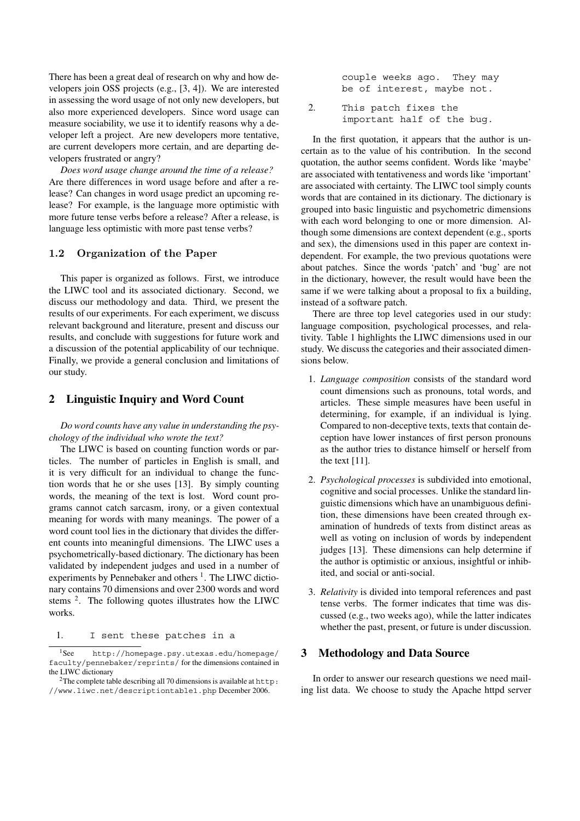There has been a great deal of research on why and how developers join OSS projects (e.g., [3, 4]). We are interested in assessing the word usage of not only new developers, but also more experienced developers. Since word usage can measure sociability, we use it to identify reasons why a developer left a project. Are new developers more tentative, are current developers more certain, and are departing developers frustrated or angry?

*Does word usage change around the time of a release?* Are there differences in word usage before and after a release? Can changes in word usage predict an upcoming release? For example, is the language more optimistic with more future tense verbs before a release? After a release, is language less optimistic with more past tense verbs?

### $1.2$ **1.2 Organization of the Paper**

This paper is organized as follows. First, we introduce the LIWC tool and its associated dictionary. Second, we discuss our methodology and data. Third, we present the results of our experiments. For each experiment, we discuss relevant background and literature, present and discuss our results, and conclude with suggestions for future work and a discussion of the potential applicability of our technique. Finally, we provide a general conclusion and limitations of our study.

### **2 Linguistic Inquiry and Word Count**

*Do word counts have any value in understanding the psychology of the individual who wrote the text?*

The LIWC is based on counting function words or particles. The number of particles in English is small, and it is very difficult for an individual to change the function words that he or she uses [13]. By simply counting words, the meaning of the text is lost. Word count programs cannot catch sarcasm, irony, or a given contextual meaning for words with many meanings. The power of a word count tool lies in the dictionary that divides the different counts into meaningful dimensions. The LIWC uses a psychometrically-based dictionary. The dictionary has been validated by independent judges and used in a number of experiments by Pennebaker and others <sup>1</sup>. The LIWC dictionary contains 70 dimensions and over 2300 words and word stems 2. The following quotes illustrates how the LIWC works.

1. I sent these patches in a

couple weeks ago. They may be of interest, maybe not.

2. This patch fixes the important half of the bug.

In the first quotation, it appears that the author is uncertain as to the value of his contribution. In the second quotation, the author seems confident. Words like 'maybe' are associated with tentativeness and words like 'important' are associated with certainty. The LIWC tool simply counts words that are contained in its dictionary. The dictionary is grouped into basic linguistic and psychometric dimensions with each word belonging to one or more dimension. Although some dimensions are context dependent (e.g., sports and sex), the dimensions used in this paper are context independent. For example, the two previous quotations were about patches. Since the words 'patch' and 'bug' are not in the dictionary, however, the result would have been the same if we were talking about a proposal to fix a building, instead of a software patch.

There are three top level categories used in our study: language composition, psychological processes, and relativity. Table 1 highlights the LIWC dimensions used in our study. We discuss the categories and their associated dimensions below.

- 1. *Language composition* consists of the standard word count dimensions such as pronouns, total words, and articles. These simple measures have been useful in determining, for example, if an individual is lying. Compared to non-deceptive texts, texts that contain deception have lower instances of first person pronouns as the author tries to distance himself or herself from the text [11].
- 2. *Psychological processes* is subdivided into emotional, cognitive and social processes. Unlike the standard linguistic dimensions which have an unambiguous definition, these dimensions have been created through examination of hundreds of texts from distinct areas as well as voting on inclusion of words by independent judges [13]. These dimensions can help determine if the author is optimistic or anxious, insightful or inhibited, and social or anti-social.
- 3. *Relativity* is divided into temporal references and past tense verbs. The former indicates that time was discussed (e.g., two weeks ago), while the latter indicates whether the past, present, or future is under discussion.

### **3 Methodology and Data Source**

In order to answer our research questions we need mailing list data. We choose to study the Apache httpd server

<sup>1</sup>See http://homepage.psy.utexas.edu/homepage/ faculty/pennebaker/reprints/ for the dimensions contained in the LIWC dictionary

<sup>2</sup>The complete table describing all 70 dimensions is available at http: //www.liwc.net/descriptiontable1.php December 2006.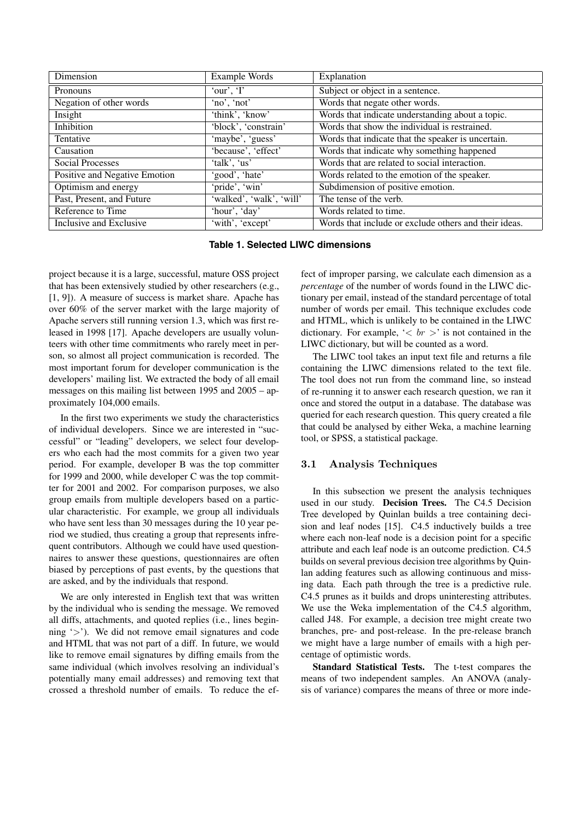| Dimension                     | Example Words            | Explanation                                           |
|-------------------------------|--------------------------|-------------------------------------------------------|
| Pronouns                      | 'our', 'I'               | Subject or object in a sentence.                      |
| Negation of other words       | 'no', 'not'              | Words that negate other words.                        |
| Insight                       | 'think', 'know'          | Words that indicate understanding about a topic.      |
| <b>Inhibition</b>             | 'block', 'constrain'     | Words that show the individual is restrained.         |
| Tentative                     | 'maybe', 'guess'         | Words that indicate that the speaker is uncertain.    |
| Causation                     | 'because', 'effect'      | Words that indicate why something happened            |
| Social Processes              | 'talk', 'us'             | Words that are related to social interaction.         |
| Positive and Negative Emotion | 'good', 'hate'           | Words related to the emotion of the speaker.          |
| Optimism and energy           | 'pride', 'win'           | Subdimension of positive emotion.                     |
| Past, Present, and Future     | 'walked', 'walk', 'will' | The tense of the verb.                                |
| Reference to Time             | 'hour', 'day'            | Words related to time.                                |
| Inclusive and Exclusive       | 'with', 'except'         | Words that include or exclude others and their ideas. |

**Table 1. Selected LIWC dimensions**

project because it is a large, successful, mature OSS project that has been extensively studied by other researchers (e.g., [1, 9]). A measure of success is market share. Apache has over 60% of the server market with the large majority of Apache servers still running version 1.3, which was first released in 1998 [17]. Apache developers are usually volunteers with other time commitments who rarely meet in person, so almost all project communication is recorded. The most important forum for developer communication is the developers' mailing list. We extracted the body of all email messages on this mailing list between 1995 and 2005 – approximately 104,000 emails.

In the first two experiments we study the characteristics of individual developers. Since we are interested in "successful" or "leading" developers, we select four developers who each had the most commits for a given two year period. For example, developer B was the top committer for 1999 and 2000, while developer C was the top committer for 2001 and 2002. For comparison purposes, we also group emails from multiple developers based on a particular characteristic. For example, we group all individuals who have sent less than 30 messages during the 10 year period we studied, thus creating a group that represents infrequent contributors. Although we could have used questionnaires to answer these questions, questionnaires are often biased by perceptions of past events, by the questions that are asked, and by the individuals that respond.

We are only interested in English text that was written by the individual who is sending the message. We removed all diffs, attachments, and quoted replies (i.e., lines beginning '>'). We did not remove email signatures and code and HTML that was not part of a diff. In future, we would like to remove email signatures by diffing emails from the same individual (which involves resolving an individual's potentially many email addresses) and removing text that crossed a threshold number of emails. To reduce the effect of improper parsing, we calculate each dimension as a *percentage* of the number of words found in the LIWC dictionary per email, instead of the standard percentage of total number of words per email. This technique excludes code and HTML, which is unlikely to be contained in the LIWC dictionary. For example,  $\leq br >$  is not contained in the LIWC dictionary, but will be counted as a word.

The LIWC tool takes an input text file and returns a file containing the LIWC dimensions related to the text file. The tool does not run from the command line, so instead of re-running it to answer each research question, we ran it once and stored the output in a database. The database was queried for each research question. This query created a file that could be analysed by either Weka, a machine learning tool, or SPSS, a statistical package.

# **3.1 Analysis Techniques**

In this subsection we present the analysis techniques used in our study. **Decision Trees.** The C4.5 Decision Tree developed by Quinlan builds a tree containing decision and leaf nodes [15]. C4.5 inductively builds a tree where each non-leaf node is a decision point for a specific attribute and each leaf node is an outcome prediction. C4.5 builds on several previous decision tree algorithms by Quinlan adding features such as allowing continuous and missing data. Each path through the tree is a predictive rule. C4.5 prunes as it builds and drops uninteresting attributes. We use the Weka implementation of the C4.5 algorithm, called J48. For example, a decision tree might create two branches, pre- and post-release. In the pre-release branch we might have a large number of emails with a high percentage of optimistic words.

**Standard Statistical Tests.** The t-test compares the means of two independent samples. An ANOVA (analysis of variance) compares the means of three or more inde-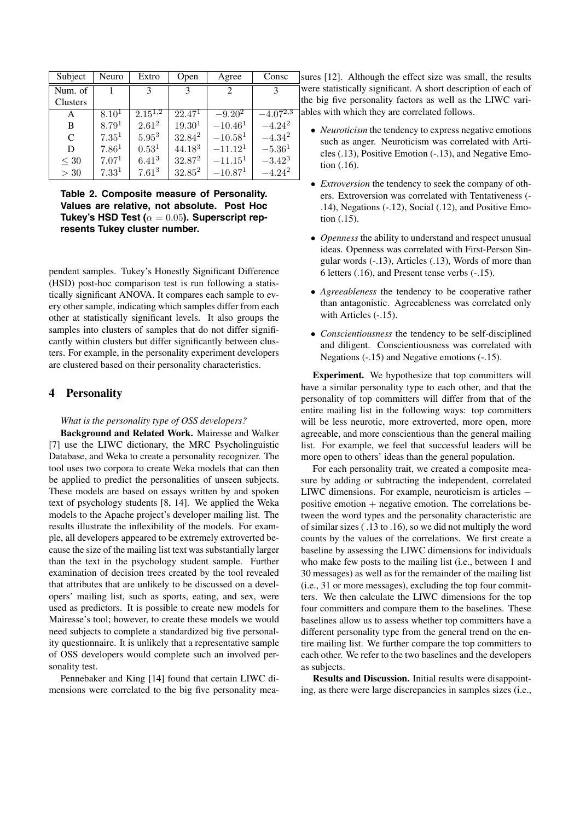| Subject       | Neuro             | Extro                   | Open               | Agree       | Consc         | ls |
|---------------|-------------------|-------------------------|--------------------|-------------|---------------|----|
| Num. of       |                   | 3                       | 3                  | 2           | 3             | V  |
| Clusters      |                   |                         |                    |             |               | ti |
| A             | $8.10^{1}$        | $2.\overline{15^{1,2}}$ | 22.47 <sup>1</sup> | $-9.20^{2}$ | $-4.07^{2,3}$ | a  |
| B             | 8.79 <sup>1</sup> | $2.61^2$                | 19.30 <sup>1</sup> | $-10.461$   | $-4.24^2$     |    |
| $\mathcal{C}$ | $7.35^{1}$        | $5.95^{3}$              | $32.84^2$          | $-10.581$   | $-4.34^{2}$   |    |
| D             | $7.86^{1}$        | $0.53^{1}$              | $44.18^{3}$        | $-11.121$   | $-5.361$      |    |
| $\leq 30$     | 7.07 <sup>1</sup> | $6.41^{3}$              | $32.87^2$          | $-11.15^1$  | $-3.42^{3}$   |    |
| >30           | $7.33^{1}$        | $7.61^{3}$              | $32.85^2$          | $-10.871$   | $-4.24^2$     |    |

**Table 2. Composite measure of Personality. Values are relative, not absolute. Post Hoc** Tukey's HSD Test  $(\alpha = 0.05)$ . Superscript rep**resents Tukey cluster number.**

pendent samples. Tukey's Honestly Significant Difference (HSD) post-hoc comparison test is run following a statistically significant ANOVA. It compares each sample to every other sample, indicating which samples differ from each other at statistically significant levels. It also groups the samples into clusters of samples that do not differ significantly within clusters but differ significantly between clusters. For example, in the personality experiment developers are clustered based on their personality characteristics.

### **4 Personality**

### *What is the personality type of OSS developers?*

**Background and Related Work.** Mairesse and Walker [7] use the LIWC dictionary, the MRC Psycholinguistic Database, and Weka to create a personality recognizer. The tool uses two corpora to create Weka models that can then be applied to predict the personalities of unseen subjects. These models are based on essays written by and spoken text of psychology students [8, 14]. We applied the Weka models to the Apache project's developer mailing list. The results illustrate the inflexibility of the models. For example, all developers appeared to be extremely extroverted because the size of the mailing list text was substantially larger than the text in the psychology student sample. Further examination of decision trees created by the tool revealed that attributes that are unlikely to be discussed on a developers' mailing list, such as sports, eating, and sex, were used as predictors. It is possible to create new models for Mairesse's tool; however, to create these models we would need subjects to complete a standardized big five personality questionnaire. It is unlikely that a representative sample of OSS developers would complete such an involved personality test.

Pennebaker and King [14] found that certain LIWC dimensions were correlated to the big five personality measures [12]. Although the effect size was small, the results were statistically significant. A short description of each of he big five personality factors as well as the LIWC variables with which they are correlated follows.

- *Neuroticism* the tendency to express negative emotions such as anger. Neuroticism was correlated with Articles (.13), Positive Emotion (-.13), and Negative Emotion (.16).
- *Extroversion* the tendency to seek the company of others. Extroversion was correlated with Tentativeness (- .14), Negations (-.12), Social (.12), and Positive Emotion (.15).
- *Openness* the ability to understand and respect unusual ideas. Openness was correlated with First-Person Singular words (-.13), Articles (.13), Words of more than 6 letters (.16), and Present tense verbs (-.15).
- *Agreeableness* the tendency to be cooperative rather than antagonistic. Agreeableness was correlated only with Articles  $(-.15)$ .
- *Conscientiousness* the tendency to be self-disciplined and diligent. Conscientiousness was correlated with Negations (-.15) and Negative emotions (-.15).

**Experiment.** We hypothesize that top committers will have a similar personality type to each other, and that the personality of top committers will differ from that of the entire mailing list in the following ways: top committers will be less neurotic, more extroverted, more open, more agreeable, and more conscientious than the general mailing list. For example, we feel that successful leaders will be more open to others' ideas than the general population.

For each personality trait, we created a composite measure by adding or subtracting the independent, correlated LIWC dimensions. For example, neuroticism is articles − positive emotion  $+$  negative emotion. The correlations between the word types and the personality characteristic are of similar sizes ( .13 to .16), so we did not multiply the word counts by the values of the correlations. We first create a baseline by assessing the LIWC dimensions for individuals who make few posts to the mailing list (i.e., between 1 and 30 messages) as well as for the remainder of the mailing list (i.e., 31 or more messages), excluding the top four committers. We then calculate the LIWC dimensions for the top four committers and compare them to the baselines. These baselines allow us to assess whether top committers have a different personality type from the general trend on the entire mailing list. We further compare the top committers to each other. We refer to the two baselines and the developers as subjects.

**Results and Discussion.** Initial results were disappointing, as there were large discrepancies in samples sizes (i.e.,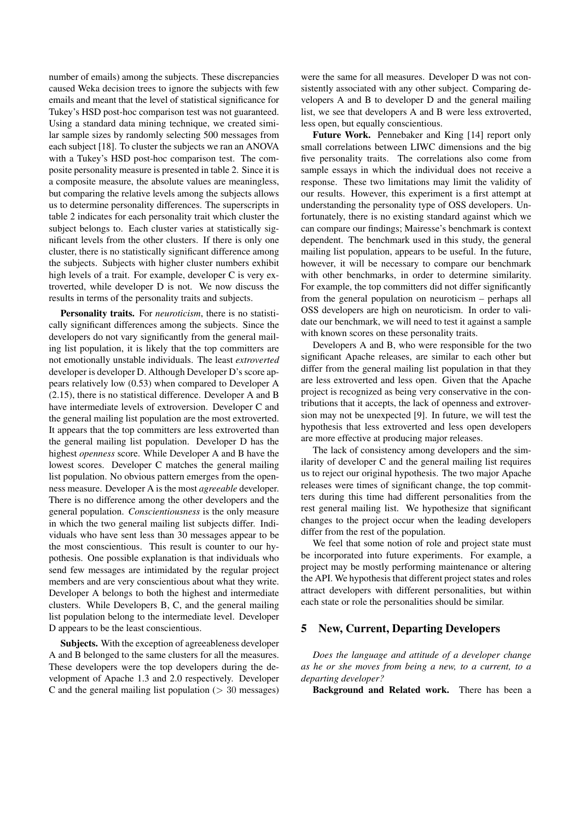number of emails) among the subjects. These discrepancies caused Weka decision trees to ignore the subjects with few emails and meant that the level of statistical significance for Tukey's HSD post-hoc comparison test was not guaranteed. Using a standard data mining technique, we created similar sample sizes by randomly selecting 500 messages from each subject [18]. To cluster the subjects we ran an ANOVA with a Tukey's HSD post-hoc comparison test. The composite personality measure is presented in table 2. Since it is a composite measure, the absolute values are meaningless, but comparing the relative levels among the subjects allows us to determine personality differences. The superscripts in table 2 indicates for each personality trait which cluster the subject belongs to. Each cluster varies at statistically significant levels from the other clusters. If there is only one cluster, there is no statistically significant difference among the subjects. Subjects with higher cluster numbers exhibit high levels of a trait. For example, developer C is very extroverted, while developer D is not. We now discuss the results in terms of the personality traits and subjects.

**Personality traits.** For *neuroticism*, there is no statistically significant differences among the subjects. Since the developers do not vary significantly from the general mailing list population, it is likely that the top committers are not emotionally unstable individuals. The least *extroverted* developer is developer D. Although Developer D's score appears relatively low (0.53) when compared to Developer A (2.15), there is no statistical difference. Developer A and B have intermediate levels of extroversion. Developer C and the general mailing list population are the most extroverted. It appears that the top committers are less extroverted than the general mailing list population. Developer D has the highest *openness* score. While Developer A and B have the lowest scores. Developer C matches the general mailing list population. No obvious pattern emerges from the openness measure. Developer A is the most *agreeable* developer. There is no difference among the other developers and the general population. *Conscientiousness* is the only measure in which the two general mailing list subjects differ. Individuals who have sent less than 30 messages appear to be the most conscientious. This result is counter to our hypothesis. One possible explanation is that individuals who send few messages are intimidated by the regular project members and are very conscientious about what they write. Developer A belongs to both the highest and intermediate clusters. While Developers B, C, and the general mailing list population belong to the intermediate level. Developer D appears to be the least conscientious.

**Subjects.** With the exception of agreeableness developer A and B belonged to the same clusters for all the measures. These developers were the top developers during the development of Apache 1.3 and 2.0 respectively. Developer C and the general mailing list population  $(> 30$  messages) were the same for all measures. Developer D was not consistently associated with any other subject. Comparing developers A and B to developer D and the general mailing list, we see that developers A and B were less extroverted, less open, but equally conscientious.

**Future Work.** Pennebaker and King [14] report only small correlations between LIWC dimensions and the big five personality traits. The correlations also come from sample essays in which the individual does not receive a response. These two limitations may limit the validity of our results. However, this experiment is a first attempt at understanding the personality type of OSS developers. Unfortunately, there is no existing standard against which we can compare our findings; Mairesse's benchmark is context dependent. The benchmark used in this study, the general mailing list population, appears to be useful. In the future, however, it will be necessary to compare our benchmark with other benchmarks, in order to determine similarity. For example, the top committers did not differ significantly from the general population on neuroticism – perhaps all OSS developers are high on neuroticism. In order to validate our benchmark, we will need to test it against a sample with known scores on these personality traits.

Developers A and B, who were responsible for the two significant Apache releases, are similar to each other but differ from the general mailing list population in that they are less extroverted and less open. Given that the Apache project is recognized as being very conservative in the contributions that it accepts, the lack of openness and extroversion may not be unexpected [9]. In future, we will test the hypothesis that less extroverted and less open developers are more effective at producing major releases.

The lack of consistency among developers and the similarity of developer C and the general mailing list requires us to reject our original hypothesis. The two major Apache releases were times of significant change, the top committers during this time had different personalities from the rest general mailing list. We hypothesize that significant changes to the project occur when the leading developers differ from the rest of the population.

We feel that some notion of role and project state must be incorporated into future experiments. For example, a project may be mostly performing maintenance or altering the API. We hypothesis that different project states and roles attract developers with different personalities, but within each state or role the personalities should be similar.

### **5 New, Current, Departing Developers**

*Does the language and attitude of a developer change as he or she moves from being a new, to a current, to a departing developer?*

**Background and Related work.** There has been a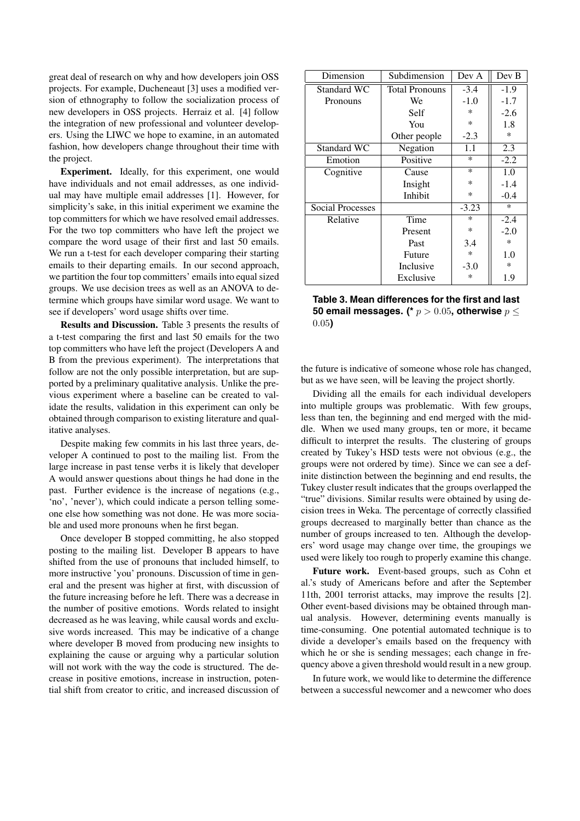great deal of research on why and how developers join OSS projects. For example, Ducheneaut [3] uses a modified version of ethnography to follow the socialization process of new developers in OSS projects. Herraiz et al. [4] follow the integration of new professional and volunteer developers. Using the LIWC we hope to examine, in an automated fashion, how developers change throughout their time with the project.

**Experiment.** Ideally, for this experiment, one would have individuals and not email addresses, as one individual may have multiple email addresses [1]. However, for simplicity's sake, in this initial experiment we examine the top committers for which we have resolved email addresses. For the two top committers who have left the project we compare the word usage of their first and last 50 emails. We run a t-test for each developer comparing their starting emails to their departing emails. In our second approach, we partition the four top committers' emails into equal sized groups. We use decision trees as well as an ANOVA to determine which groups have similar word usage. We want to see if developers' word usage shifts over time.

**Results and Discussion.** Table 3 presents the results of a t-test comparing the first and last 50 emails for the two top committers who have left the project (Developers A and B from the previous experiment). The interpretations that follow are not the only possible interpretation, but are supported by a preliminary qualitative analysis. Unlike the previous experiment where a baseline can be created to validate the results, validation in this experiment can only be obtained through comparison to existing literature and qualitative analyses.

Despite making few commits in his last three years, developer A continued to post to the mailing list. From the large increase in past tense verbs it is likely that developer A would answer questions about things he had done in the past. Further evidence is the increase of negations (e.g., 'no', 'never'), which could indicate a person telling someone else how something was not done. He was more sociable and used more pronouns when he first began.

Once developer B stopped committing, he also stopped posting to the mailing list. Developer B appears to have shifted from the use of pronouns that included himself, to more instructive 'you' pronouns. Discussion of time in general and the present was higher at first, with discussion of the future increasing before he left. There was a decrease in the number of positive emotions. Words related to insight decreased as he was leaving, while causal words and exclusive words increased. This may be indicative of a change where developer B moved from producing new insights to explaining the cause or arguing why a particular solution will not work with the way the code is structured. The decrease in positive emotions, increase in instruction, potential shift from creator to critic, and increased discussion of

| Dimension        | Subdimension          | Dev A   | Dev B  |
|------------------|-----------------------|---------|--------|
| Standard WC      | <b>Total Pronouns</b> | $-3.4$  | $-1.9$ |
| Pronouns         | We                    | $-1.0$  | $-1.7$ |
|                  | Self                  | $\ast$  | $-2.6$ |
|                  | You                   | $\ast$  | 1.8    |
|                  | Other people          | $-2.3$  | $\ast$ |
| Standard WC      | Negation              | 1.1     | 2.3    |
| Emotion          | Positive              | $\ast$  | $-2.2$ |
| Cognitive        | Cause                 | $\ast$  | 1.0    |
|                  | Insight               | $\ast$  | $-1.4$ |
|                  | Inhibit               | $\ast$  | $-0.4$ |
| Social Processes |                       | $-3.23$ | $\ast$ |
| Relative         | Time                  | $\ast$  | $-2.4$ |
|                  | Present               | $\ast$  | $-2.0$ |
|                  | Past                  | 3.4     | $\ast$ |
|                  | Future                | $\ast$  | 1.0    |
|                  | Inclusive             | $-3.0$  | $\ast$ |
|                  | Exclusive             | $\ast$  | 1.9    |

**Table 3. Mean differences for the first and last 50 email messages. (\***  $p > 0.05$ , otherwise  $p <$ 0.05**)**

the future is indicative of someone whose role has changed, but as we have seen, will be leaving the project shortly.

Dividing all the emails for each individual developers into multiple groups was problematic. With few groups, less than ten, the beginning and end merged with the middle. When we used many groups, ten or more, it became difficult to interpret the results. The clustering of groups created by Tukey's HSD tests were not obvious (e.g., the groups were not ordered by time). Since we can see a definite distinction between the beginning and end results, the Tukey cluster result indicates that the groups overlapped the "true" divisions. Similar results were obtained by using decision trees in Weka. The percentage of correctly classified groups decreased to marginally better than chance as the number of groups increased to ten. Although the developers' word usage may change over time, the groupings we used were likely too rough to properly examine this change.

**Future work.** Event-based groups, such as Cohn et al.'s study of Americans before and after the September 11th, 2001 terrorist attacks, may improve the results [2]. Other event-based divisions may be obtained through manual analysis. However, determining events manually is time-consuming. One potential automated technique is to divide a developer's emails based on the frequency with which he or she is sending messages; each change in frequency above a given threshold would result in a new group.

In future work, we would like to determine the difference between a successful newcomer and a newcomer who does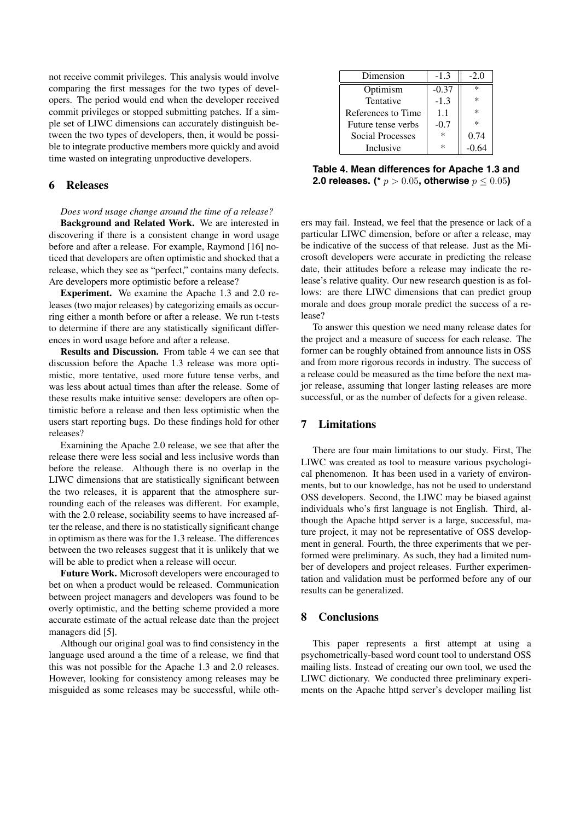not receive commit privileges. This analysis would involve comparing the first messages for the two types of developers. The period would end when the developer received commit privileges or stopped submitting patches. If a simple set of LIWC dimensions can accurately distinguish between the two types of developers, then, it would be possible to integrate productive members more quickly and avoid time wasted on integrating unproductive developers.

### **6 Releases**

*Does word usage change around the time of a release?* **Background and Related Work.** We are interested in discovering if there is a consistent change in word usage before and after a release. For example, Raymond [16] noticed that developers are often optimistic and shocked that a release, which they see as "perfect," contains many defects. Are developers more optimistic before a release?

**Experiment.** We examine the Apache 1.3 and 2.0 releases (two major releases) by categorizing emails as occurring either a month before or after a release. We run t-tests to determine if there are any statistically significant differences in word usage before and after a release.

**Results and Discussion.** From table 4 we can see that discussion before the Apache 1.3 release was more optimistic, more tentative, used more future tense verbs, and was less about actual times than after the release. Some of these results make intuitive sense: developers are often optimistic before a release and then less optimistic when the users start reporting bugs. Do these findings hold for other releases?

Examining the Apache 2.0 release, we see that after the release there were less social and less inclusive words than before the release. Although there is no overlap in the LIWC dimensions that are statistically significant between the two releases, it is apparent that the atmosphere surrounding each of the releases was different. For example, with the 2.0 release, sociability seems to have increased after the release, and there is no statistically significant change in optimism as there was for the 1.3 release. The differences between the two releases suggest that it is unlikely that we will be able to predict when a release will occur.

**Future Work.** Microsoft developers were encouraged to bet on when a product would be released. Communication between project managers and developers was found to be overly optimistic, and the betting scheme provided a more accurate estimate of the actual release date than the project managers did [5].

Although our original goal was to find consistency in the language used around a the time of a release, we find that this was not possible for the Apache 1.3 and 2.0 releases. However, looking for consistency among releases may be misguided as some releases may be successful, while oth-

| Dimension               | $-1.3$  | -2.0   |
|-------------------------|---------|--------|
| Optimism                | $-0.37$ | $\ast$ |
| Tentative               | $-1.3$  | ∗      |
| References to Time      | 1.1     | $\ast$ |
| Future tense verbs      | $-0.7$  | $\ast$ |
| <b>Social Processes</b> | $\ast$  | 0.74   |
| Inclusive               | *       | 0 64   |

**Table 4. Mean differences for Apache 1.3 and 2.0 releases. (\***  $p > 0.05$ , otherwise  $p \le 0.05$ )

ers may fail. Instead, we feel that the presence or lack of a particular LIWC dimension, before or after a release, may be indicative of the success of that release. Just as the Microsoft developers were accurate in predicting the release date, their attitudes before a release may indicate the release's relative quality. Our new research question is as follows: are there LIWC dimensions that can predict group morale and does group morale predict the success of a release?

To answer this question we need many release dates for the project and a measure of success for each release. The former can be roughly obtained from announce lists in OSS and from more rigorous records in industry. The success of a release could be measured as the time before the next major release, assuming that longer lasting releases are more successful, or as the number of defects for a given release.

### **7 Limitations**

There are four main limitations to our study. First, The LIWC was created as tool to measure various psychological phenomenon. It has been used in a variety of environments, but to our knowledge, has not be used to understand OSS developers. Second, the LIWC may be biased against individuals who's first language is not English. Third, although the Apache httpd server is a large, successful, mature project, it may not be representative of OSS development in general. Fourth, the three experiments that we performed were preliminary. As such, they had a limited number of developers and project releases. Further experimentation and validation must be performed before any of our results can be generalized.

### **8 Conclusions**

This paper represents a first attempt at using a psychometrically-based word count tool to understand OSS mailing lists. Instead of creating our own tool, we used the LIWC dictionary. We conducted three preliminary experiments on the Apache httpd server's developer mailing list